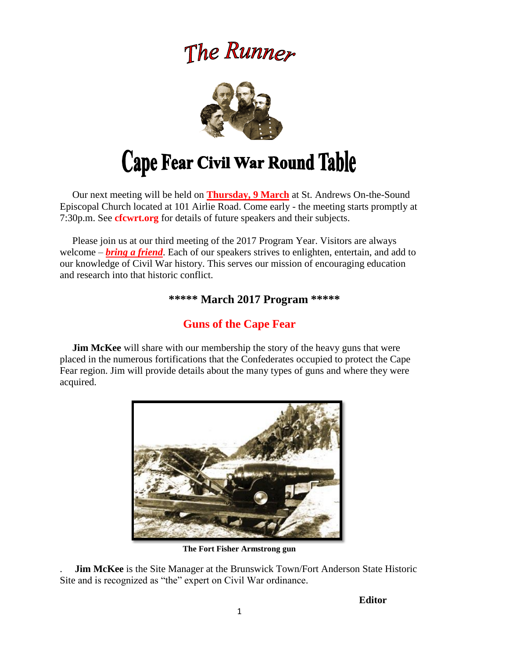# The Runner



 Our next meeting will be held on **Thursday, 9 March** at St. Andrews On-the-Sound Episcopal Church located at 101 Airlie Road. Come early - the meeting starts promptly at 7:30p.m. See **cfcwrt.org** for details of future speakers and their subjects.

 Please join us at our third meeting of the 2017 Program Year. Visitors are always welcome – *bring a friend*. Each of our speakers strives to enlighten, entertain, and add to our knowledge of Civil War history. This serves our mission of encouraging education and research into that historic conflict.

### **\*\*\*\*\* March 2017 Program \*\*\*\*\***

# **Guns of the Cape Fear**

**Jim McKee** will share with our membership the story of the heavy guns that were placed in the numerous fortifications that the Confederates occupied to protect the Cape Fear region. Jim will provide details about the many types of guns and where they were acquired.



**The Fort Fisher Armstrong gun**

. **Jim McKee** is the Site Manager at the Brunswick Town/Fort Anderson State Historic Site and is recognized as "the" expert on Civil War ordinance.

 **Editor**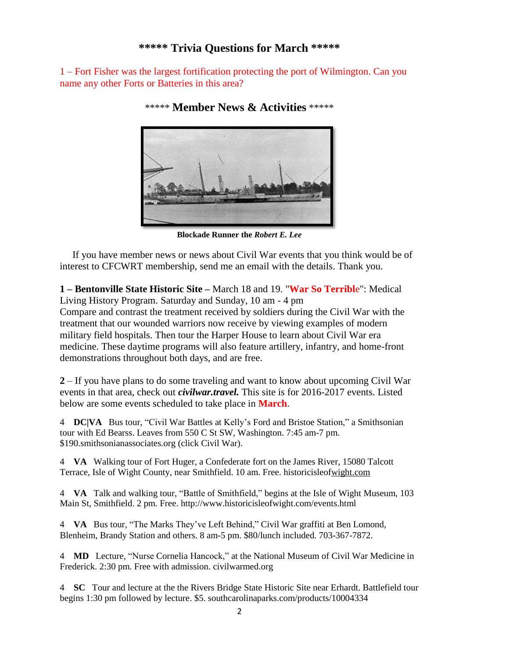#### **\*\*\*\*\* Trivia Questions for March \*\*\*\*\***

1 – Fort Fisher was the largest fortification protecting the port of Wilmington. Can you name any other Forts or Batteries in this area?



\*\*\*\*\* **Member News & Activities** \*\*\*\*\*

**Blockade Runner the** *Robert E. Lee*

 If you have member news or news about Civil War events that you think would be of interest to CFCWRT membership, send me an email with the details. Thank you.

**1 – Bentonville State Historic Site –** March 18 and 19. "**War So Terribl**e": Medical Living History Program. Saturday and Sunday, 10 am - 4 pm Compare and contrast the treatment received by soldiers during the Civil War with the

treatment that our wounded warriors now receive by viewing examples of modern military field hospitals. Then tour the Harper House to learn about Civil War era medicine. These daytime programs will also feature artillery, infantry, and home-front demonstrations throughout both days, and are free.

**2** – If you have plans to do some traveling and want to know about upcoming Civil War events in that area, check out *civilwar.travel.* This site is for 2016-2017 events. Listed below are some events scheduled to take place in **March**.

4 **DC|VA** Bus tour, "Civil War Battles at Kelly's Ford and Bristoe Station," a Smithsonian tour with Ed Bearss. Leaves from 550 C St SW, Washington. 7:45 am-7 pm. \$19[0.smithsonianassociates.org](https://smithsonianassociates.org/) (click Civil War).

4 **VA** Walking tour of Fort Huger, a Confederate fort on the James River, 15080 Talcott Terrace, Isle of Wight County, near Smithfield. 10 am. Free. [historicisleofwight.com](http://www.historicisleofwight.com/)

4 **VA** Talk and walking tour, "Battle of Smithfield," begins at the Isle of Wight Museum, 103 Main St, Smithfield. 2 pm. Free. [http://www.historicisleofwight.com/events.html](http://historicisleofwight.com/events.html)

4 **VA** Bus tour, "The Marks They've Left Behind," Civil War graffiti at Ben Lomond, Blenheim, Brandy Station and others. 8 am-5 pm. \$80/lunch included. 703-367-7872.

4 **MD** Lecture, "Nurse Cornelia Hancock," at the National Museum of Civil War Medicine in Frederick. 2:30 pm. Free with admission. [civilwarmed.org](http://www.civilwarmed.org/)

4 **SC** Tour and lecture at the the Rivers Bridge State Historic Site near Erhardt. Battlefield tour begins 1:30 pm followed by lecture. \$5. [southcarolinaparks.com/products/10004334](http://www.southcarolinaparks.com/products/10004334)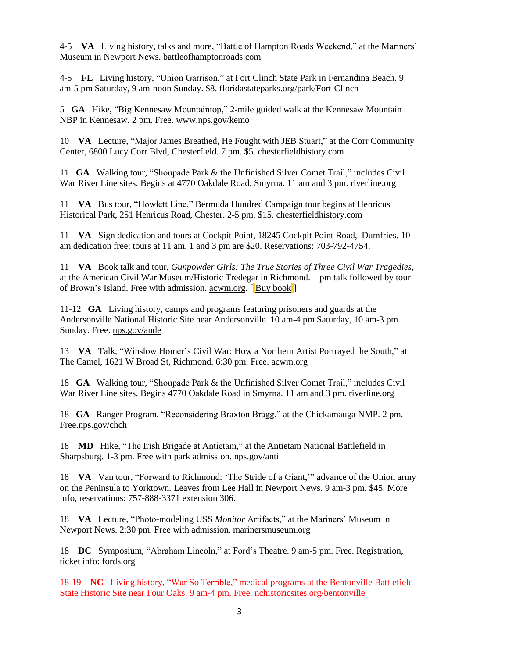4-5 **VA** Living history, talks and more, "Battle of Hampton Roads Weekend," at the Mariners' Museum in Newport News. [battleofhamptonroads.com](http://www.battleofhamptonroads.com/)

4-5 **FL** Living history, "Union Garrison," at Fort Clinch State Park in Fernandina Beach. 9 am-5 pm Saturday, 9 am-noon Sunday. \$8. [floridastateparks.org/park/Fort-Clinch](http://www.floridastateparks.org/park/Fort-Clinch)

5 **GA** Hike, "Big Kennesaw Mountaintop," 2-mile guided walk at the Kennesaw Mountain NBP in Kennesaw. 2 pm. Free. [www.nps.gov/kemo](http://www.nps.gov/kemo/)

10 **VA** Lecture, "Major James Breathed, He Fought with JEB Stuart," at the Corr Community Center, 6800 Lucy Corr Blvd, Chesterfield. 7 pm. \$5. [chesterfieldhistory.com](http://www.chesterfieldhistory.com/)

11 **GA** Walking tour, "Shoupade Park & the Unfinished Silver Comet Trail," includes Civil War River Line sites. Begins at 4770 Oakdale Road, Smyrna. 11 am and 3 pm. [riverline.org](http://www.riverline.org/)

11 **VA** Bus tour, "Howlett Line," Bermuda Hundred Campaign tour begins at Henricus Historical Park, 251 Henricus Road, Chester. 2-5 pm. \$15. [chesterfieldhistory.com](http://www.chesterfieldhistory.com/)

11 **VA** Sign dedication and tours at Cockpit Point, 18245 Cockpit Point Road, Dumfries. 10 am dedication free; tours at 11 am, 1 and 3 pm are \$20. Reservations: 703-792-4754.

11 **VA** Book talk and tour, *Gunpowder Girls: The True Stories of Three Civil War Tragedies*, at the American Civil War Museum/Historic Tredegar in Richmond. 1 pm talk followed by tour of Brown's Island. Free with admission. <u>acwm.org</u>. [Buy [book](http://amzn.to/2j5lWYk)]

11-12 **GA** Living history, camps and programs featuring prisoners and guards at the Andersonville National Historic Site near Andersonville. 10 am-4 pm Saturday, 10 am-3 pm Sunday. Free. [nps.gov/ande](http://www.nps.gov/ande/)

13 **VA** Talk, "Winslow Homer's Civil War: How a Northern Artist Portrayed the South," at The Camel, 1621 W Broad St, Richmond. 6:30 pm. Free. [acwm.org](http://www.acwm.org/)

18 **GA** Walking tour, "Shoupade Park & the Unfinished Silver Comet Trail," includes Civil War River Line sites. Begins 4770 Oakdale Road in Smyrna. 11 am and 3 pm. [riverline.org](http://www.riverline.org/)

18 **GA** Ranger Program, "Reconsidering Braxton Bragg," at the Chickamauga NMP. 2 pm. Free[.nps.gov/chch](http://www.nps.gov/chch/)

18 **MD** Hike, "The Irish Brigade at Antietam," at the Antietam National Battlefield in Sharpsburg. 1-3 pm. Free with park admission. [nps.gov/anti](http://www.nps.gov/anti/)

18 **VA** Van tour, "Forward to Richmond: 'The Stride of a Giant,'" advance of the Union army on the Peninsula to Yorktown. Leaves from Lee Hall in Newport News. 9 am-3 pm. \$45. More info, reservations: 757-888-3371 extension 306.

18 **VA** Lecture, "Photo-modeling USS *Monitor* Artifacts," at the Mariners' Museum in Newport News. 2:30 pm. Free with admission. [marinersmuseum.org](http://www.marinersmuseum.org/)

18 **DC** Symposium, "Abraham Lincoln," at Ford's Theatre. 9 am-5 pm. Free. Registration, ticket info: [fords.org](https://www.fords.org/)

18-19 **NC** Living history, "War So Terrible," medical programs at the Bentonville Battlefield State Historic Site near Four Oaks. 9 am-4 pm. Free. [nchistoricsites.org/bentonvil](http://www.nchistoricsites.org/bentonvi/)le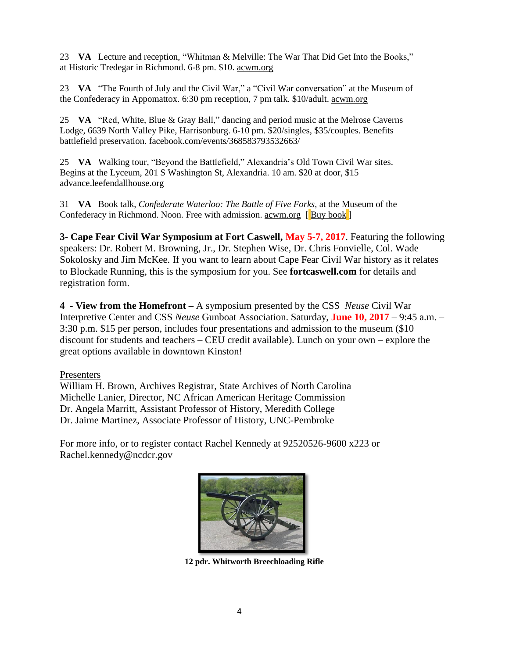23 **VA** Lecture and reception, "Whitman & Melville: The War That Did Get Into the Books," at Historic Tredegar in Richmond. 6-8 pm. \$10. [acwm.org](http://www.acwm.org/)

23 **VA** "The Fourth of July and the Civil War," a "Civil War conversation" at the Museum of the Confederacy in Appomattox. 6:30 pm reception, 7 pm talk. \$10/adult. [acwm.org](http://www.acwm.org/)

25 **VA** "Red, White, Blue & Gray Ball," dancing and period music at the Melrose Caverns Lodge, 6639 North Valley Pike, Harrisonburg. 6-10 pm. \$20/singles, \$35/couples. Benefits battlefield preservation. [facebook.com/events/368583793532663/](https://www.facebook.com/events/368583793532663/)

25 **VA** Walking tour, "Beyond the Battlefield," Alexandria's Old Town Civil War sites. Begins at the Lyceum, 201 S Washington St, Alexandria. 10 am. \$20 at door, \$15 advance[.leefendallhouse.org](http://www.leefendallhouse.org/)

31 **VA** Book talk, *Confederate Waterloo: The Battle of Five Forks*, at the Museum of the Confederacy in Richmond. Noon. Free with admission. <u>[acwm.org](http://www.acwm.org/)</u> [Buy [book](http://amzn.to/2ksU5pg)]

**3- Cape Fear Civil War Symposium at Fort Caswell, May 5-7, 2017**. Featuring the following speakers: Dr. Robert M. Browning, Jr., Dr. Stephen Wise, Dr. Chris Fonvielle, Col. Wade Sokolosky and Jim McKee. If you want to learn about Cape Fear Civil War history as it relates to Blockade Running, this is the symposium for you. See **fortcaswell.com** for details and registration form.

**4 - View from the Homefront –** A symposium presented by the CSS *Neuse* Civil War Interpretive Center and CSS *Neuse* Gunboat Association. Saturday, **June 10, 2017** – 9:45 a.m. – 3:30 p.m. \$15 per person, includes four presentations and admission to the museum (\$10 discount for students and teachers – CEU credit available). Lunch on your own – explore the great options available in downtown Kinston!

#### Presenters

William H. Brown, Archives Registrar, State Archives of North Carolina Michelle Lanier, Director, NC African American Heritage Commission Dr. Angela Marritt, Assistant Professor of History, Meredith College Dr. Jaime Martinez, Associate Professor of History, UNC-Pembroke

For more info, or to register contact Rachel Kennedy at 92520526-9600 x223 or Rachel.kennedy@ncdcr.gov



**12 pdr. Whitworth Breechloading Rifle**